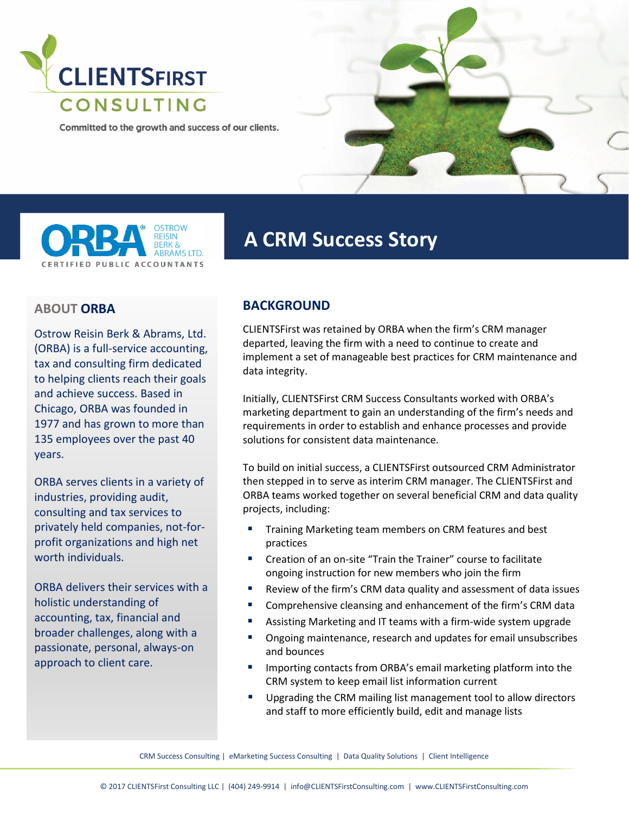

Committed to the growth and success of our clients.





# **A CRM Success Story**

### **ABOUT ORBA**

Ostrow Reisin Berk & Abrams, Ltd. (ORBA) is a full-service accounting, tax and consulting firm dedicated to helping clients reach their goals and achieve success. Based in Chicago, ORBA was founded in 1977 and has grown to more than 135 employees over the past 40 years.

ORBA serves clients in a variety of industries, providing audit, consulting and tax services to privately held companies, not-forprofit organizations and high net worth individuals.

ORBA delivers their services with a holistic understanding of accounting, tax, financial and broader challenges, along with a passionate, personal, always-on approach to client care.

## **BACKGROUND**

CLIENTSFirst was retained by ORBA when the firm's CRM manager departed, leaving the firm with a need to continue to create and implement a set of manageable best practices for CRM maintenance and data integrity.

Initially, CLIENTSFirst CRM Success Consultants worked with ORBA's marketing department to gain an understanding of the firm's needs and requirements in order to establish and enhance processes and provide solutions for consistent data maintenance.

To build on initial success, a CLIENTSFirst outsourced CRM Administrator then stepped in to serve as interim CRM manager. The CLIENTSFirst and ORBA teams worked together on several beneficial CRM and data quality projects, including:

- **Training Marketing team members on CRM features and best** practices
- **E** Creation of an on-site "Train the Trainer" course to facilitate ongoing instruction for new members who join the firm
- Review of the firm's CRM data quality and assessment of data issues
- **EXP** Comprehensive cleansing and enhancement of the firm's CRM data
- Assisting Marketing and IT teams with a firm-wide system upgrade
- **•** Ongoing maintenance, research and updates for email unsubscribes and bounces
- **IMPORTIME:** Importing contacts from ORBA's email marketing platform into the CRM system to keep email list information current
- **Upgrading the CRM mailing list management tool to allow directors** and staff to more efficiently build, edit and manage lists

CRM Success Consulting | eMarketing Success Consulting | Data Quality Solutions | Client Intelligence